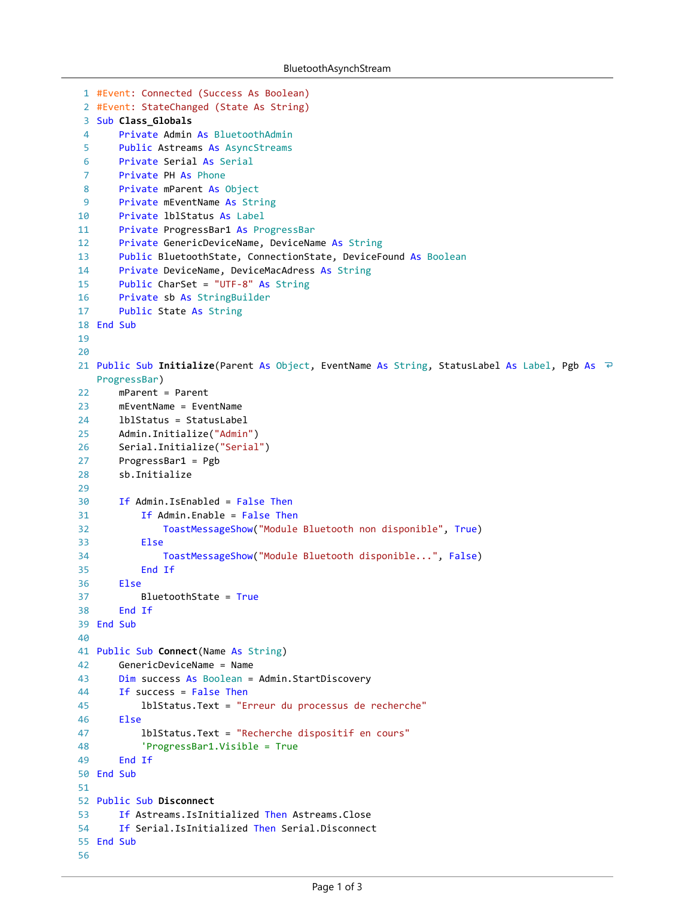```
#Event: Connected (Success As Boolean)
1
 #Event: StateChanged (State As String)
2
 3 Sub Class_Globals
       Private Admin As BluetoothAdmin
       Public Astreams As AsyncStreams
       Private Serial As Serial
       Private PH As Phone
       Private mParent As Object
       Private mEventName As String
       Private lblStatus As Label
       Private ProgressBar1 As ProgressBar
       Private GenericDeviceName, DeviceName As String
       Public BluetoothState, ConnectionState, DeviceFound As Boolean
       Private DeviceName, DeviceMacAdress As String
       Public CharSet = "UTF-8" As String
       Private sb As StringBuilder
       Public State As String
18 End Sub
21 Public Sub Initialize(Parent As Object, EventName As String, StatusLabel As Label, Pgb As
   ProgressBar)
       mParent = Parent
       mEventName = EventName
       lblStatus = StatusLabel
       Admin.Initialize("Admin")
       Serial.Initialize("Serial")
       ProgressBar1 = Pgb
       sb.Initialize
       If Admin.IsEnabled = False Then
           If Admin.Enable = False Then
               ToastMessageShow("Module Bluetooth non disponible", True)
           Else
               ToastMessageShow("Module Bluetooth disponible...", False)
           End If
       Else
           BluetoothState = True
       End If
39 End Sub
41 Public Sub Connect(Name As String)
       GenericDeviceName = Name
       Dim success As Boolean = Admin.StartDiscovery
       If success = False Then
           lblStatus.Text = "Erreur du processus de recherche"
       Else
           lblStatus.Text = "Recherche dispositif en cours"
           'ProgressBar1.Visible = True
       End If
50 End Sub
52 Public Sub Disconnect
       If Astreams.IsInitialized Then Astreams.Close
       If Serial.IsInitialized Then Serial.Disconnect
55 End Sub
 4
 5
 6
 7
 8
 9
10
11
12
13
14
15
16
17
19
20
22
23
24
25
26
27
28
29
30
31
32
33
34
35
36
37
38
40
42
43
44
45
46
47
48
49
51
53
54
56
```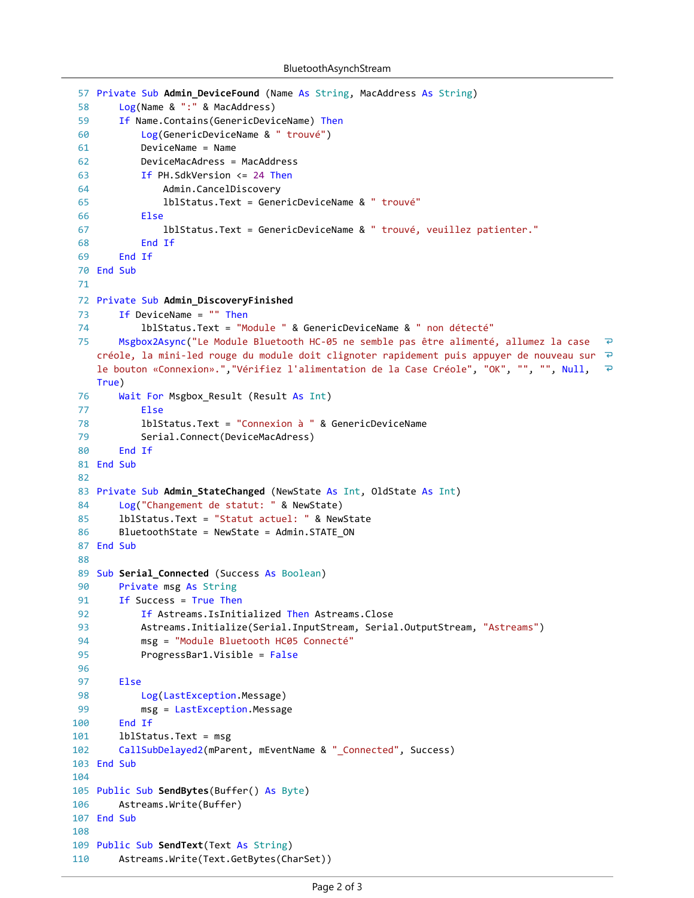```
57 Private Sub Admin_DeviceFound (Name As String, MacAddress As String)
        Log(Name & ":" & MacAddress)
 58
 59
        If Name.Contains(GenericDeviceName) Then
            Log(GenericDeviceName & " trouvé")
 60
            DeviceName = Name
 61
 62
            DeviceMacAdress = MacAddress
            If PH.SdkVersion <= 24 Then
 63
 64
                Admin.CancelDiscovery
                 lblStatus.Text = GenericDeviceName & " trouvé"
 65
 66
            Else
 67
                 lblStatus.Text = GenericDeviceName & " trouvé, veuillez patienter."
            End If
 68
 69
        End If
 70 End Sub
71
 72 Private Sub Admin_DiscoveryFinished
 73
        If DeviceName = "" Then
             lblStatus.Text = "Module " & GenericDeviceName & " non détecté"
 74
 75
        Msgbox2Async("Le Module Bluetooth HC-05 ne semble pas être alimenté, allumez la case 
                                                                                                   \overline{P}créole, la mini-led rouge du module doit clignoter rapidement puis appuyer de nouveau sur \overline{P}le bouton «Connexion».","Vérifiez l'alimentation de la Case Créole", "OK", "", "", Null, 
                                                                                                   \overline{\mathbf{e}}True)
 76
        Wait For Msgbox_Result (Result As Int)
 77
            Else
            lblStatus.Text = "Connexion à " & GenericDeviceName
 78
             Serial.Connect(DeviceMacAdress)
 79
 80
        End If
 81 End Sub
 82
 83 Private Sub Admin_StateChanged (NewState As Int, OldState As Int)
 84
        Log("Changement de statut: " & NewState)
85
        lblStatus.Text = "Statut actuel: " & NewState
        BluetoothState = NewState = Admin.STATE_ON
 86
 87 End Sub
88
89
   Sub Serial_Connected (Success As Boolean)
 90
        Private msg As String
        If Success = True Then
91
92
            If Astreams.IsInitialized Then Astreams.Close
93
            Astreams.Initialize(Serial.InputStream, Serial.OutputStream, "Astreams")
 94
            msg = "Module Bluetooth HC05 Connecté"
 95
            ProgressBar1.Visible = False
96
 97
        Else
98
            Log(LastException.Message)
99
            msg = LastException.Message
100
        End If
101
        lblStatus.Text = msg
102
        CallSubDelayed2(mParent, mEventName & "_Connected", Success)
103 End Sub
104
105 Public Sub SendBytes(Buffer() As Byte)
106
        Astreams.Write(Buffer)
107 End Sub
108
109 Public Sub SendText(Text As String)
110
        Astreams.Write(Text.GetBytes(CharSet))
```